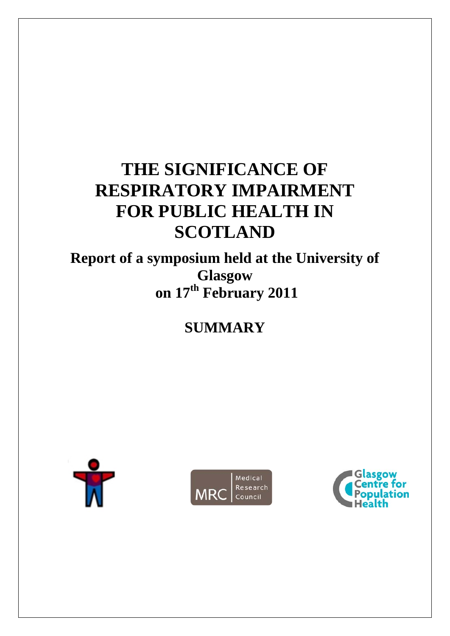# **THE SIGNIFICANCE OF RESPIRATORY IMPAIRMENT FOR PUBLIC HEALTH IN SCOTLAND**

**Report of a symposium held at the University of Glasgow on 17th February 2011** 

**SUMMARY** 





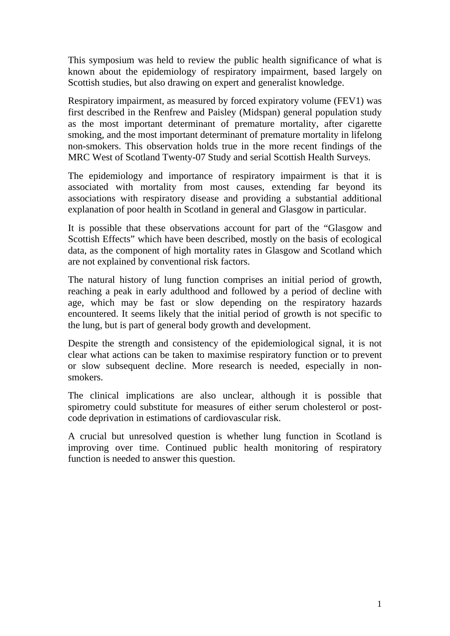This symposium was held to review the public health significance of what is known about the epidemiology of respiratory impairment, based largely on Scottish studies, but also drawing on expert and generalist knowledge.

Respiratory impairment, as measured by forced expiratory volume (FEV1) was first described in the Renfrew and Paisley (Midspan) general population study as the most important determinant of premature mortality, after cigarette smoking, and the most important determinant of premature mortality in lifelong non-smokers. This observation holds true in the more recent findings of the MRC West of Scotland Twenty-07 Study and serial Scottish Health Surveys.

The epidemiology and importance of respiratory impairment is that it is associated with mortality from most causes, extending far beyond its associations with respiratory disease and providing a substantial additional explanation of poor health in Scotland in general and Glasgow in particular.

It is possible that these observations account for part of the "Glasgow and Scottish Effects" which have been described, mostly on the basis of ecological data, as the component of high mortality rates in Glasgow and Scotland which are not explained by conventional risk factors.

The natural history of lung function comprises an initial period of growth, reaching a peak in early adulthood and followed by a period of decline with age, which may be fast or slow depending on the respiratory hazards encountered. It seems likely that the initial period of growth is not specific to the lung, but is part of general body growth and development.

Despite the strength and consistency of the epidemiological signal, it is not clear what actions can be taken to maximise respiratory function or to prevent or slow subsequent decline. More research is needed, especially in nonsmokers.

The clinical implications are also unclear, although it is possible that spirometry could substitute for measures of either serum cholesterol or postcode deprivation in estimations of cardiovascular risk.

A crucial but unresolved question is whether lung function in Scotland is improving over time. Continued public health monitoring of respiratory function is needed to answer this question.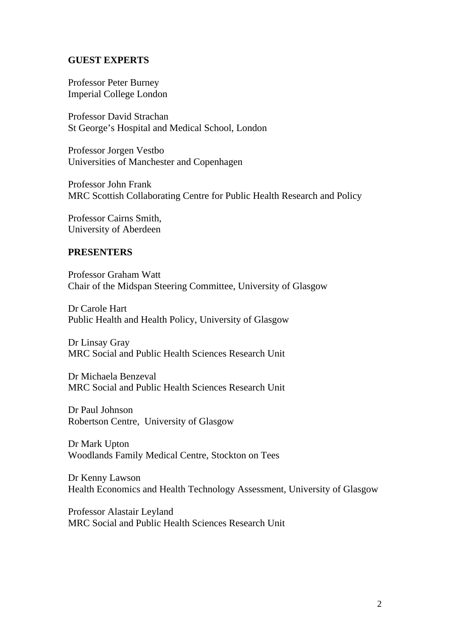#### **GUEST EXPERTS**

Professor Peter Burney Imperial College London

Professor David Strachan St George's Hospital and Medical School, London

Professor Jorgen Vestbo Universities of Manchester and Copenhagen

Professor John Frank MRC Scottish Collaborating Centre for Public Health Research and Policy

Professor Cairns Smith, University of Aberdeen

#### **PRESENTERS**

Professor Graham Watt Chair of the Midspan Steering Committee, University of Glasgow

Dr Carole Hart Public Health and Health Policy, University of Glasgow

Dr Linsay Gray MRC Social and Public Health Sciences Research Unit

Dr Michaela Benzeval MRC Social and Public Health Sciences Research Unit

Dr Paul Johnson Robertson Centre, University of Glasgow

Dr Mark Upton Woodlands Family Medical Centre, Stockton on Tees

Dr Kenny Lawson Health Economics and Health Technology Assessment, University of Glasgow

Professor Alastair Leyland MRC Social and Public Health Sciences Research Unit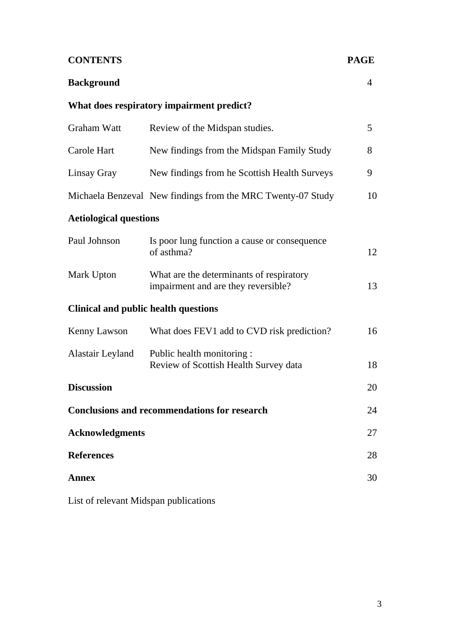| <b>CONTENTS</b>                                     |                                                                                 | <b>PAGE</b>    |
|-----------------------------------------------------|---------------------------------------------------------------------------------|----------------|
| <b>Background</b>                                   |                                                                                 | $\overline{4}$ |
|                                                     | What does respiratory impairment predict?                                       |                |
| <b>Graham Watt</b>                                  | Review of the Midspan studies.                                                  | 5              |
| Carole Hart                                         | New findings from the Midspan Family Study                                      | 8              |
| Linsay Gray                                         | New findings from he Scottish Health Surveys                                    | 9              |
|                                                     | Michaela Benzeval New findings from the MRC Twenty-07 Study                     | 10             |
| <b>Aetiological questions</b>                       |                                                                                 |                |
| Paul Johnson                                        | Is poor lung function a cause or consequence<br>of asthma?                      | 12             |
| Mark Upton                                          | What are the determinants of respiratory<br>impairment and are they reversible? | 13             |
| <b>Clinical and public health questions</b>         |                                                                                 |                |
| <b>Kenny Lawson</b>                                 | What does FEV1 add to CVD risk prediction?                                      | 16             |
| Alastair Leyland                                    | Public health monitoring :<br>Review of Scottish Health Survey data             | 18             |
| <b>Discussion</b>                                   |                                                                                 | 20             |
| <b>Conclusions and recommendations for research</b> |                                                                                 | 24             |
| <b>Acknowledgments</b>                              |                                                                                 | 27             |
| <b>References</b>                                   |                                                                                 | 28             |
| <b>Annex</b>                                        |                                                                                 | 30             |
|                                                     |                                                                                 |                |

List of relevant Midspan publications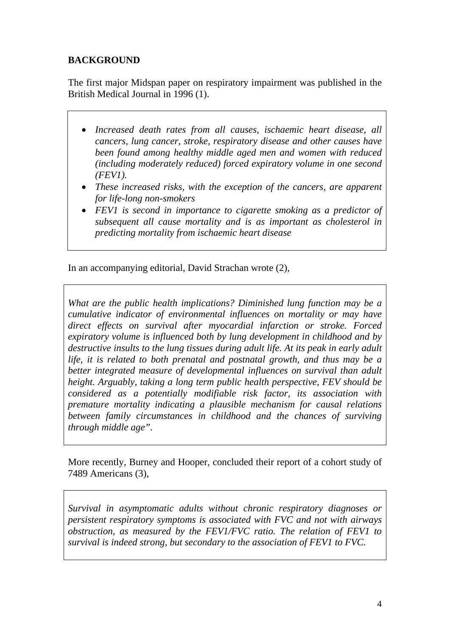# **BACKGROUND**

The first major Midspan paper on respiratory impairment was published in the British Medical Journal in 1996 (1).

- *Increased death rates from all causes, ischaemic heart disease, all cancers, lung cancer, stroke, respiratory disease and other causes have been found among healthy middle aged men and women with reduced (including moderately reduced) forced expiratory volume in one second (FEV1).*
- *These increased risks, with the exception of the cancers, are apparent for life-long non-smokers*
- *FEV1 is second in importance to cigarette smoking as a predictor of subsequent all cause mortality and is as important as cholesterol in predicting mortality from ischaemic heart disease*

In an accompanying editorial, David Strachan wrote (2),

*What are the public health implications? Diminished lung function may be a cumulative indicator of environmental influences on mortality or may have direct effects on survival after myocardial infarction or stroke. Forced expiratory volume is influenced both by lung development in childhood and by destructive insults to the lung tissues during adult life. At its peak in early adult life, it is related to both prenatal and postnatal growth, and thus may be a better integrated measure of developmental influences on survival than adult height. Arguably, taking a long term public health perspective, FEV should be considered as a potentially modifiable risk factor, its association with premature mortality indicating a plausible mechanism for causal relations between family circumstances in childhood and the chances of surviving through middle age".* 

More recently, Burney and Hooper, concluded their report of a cohort study of 7489 Americans (3),

*Survival in asymptomatic adults without chronic respiratory diagnoses or persistent respiratory symptoms is associated with FVC and not with airways obstruction, as measured by the FEV1/FVC ratio. The relation of FEV1 to survival is indeed strong, but secondary to the association of FEV1 to FVC.*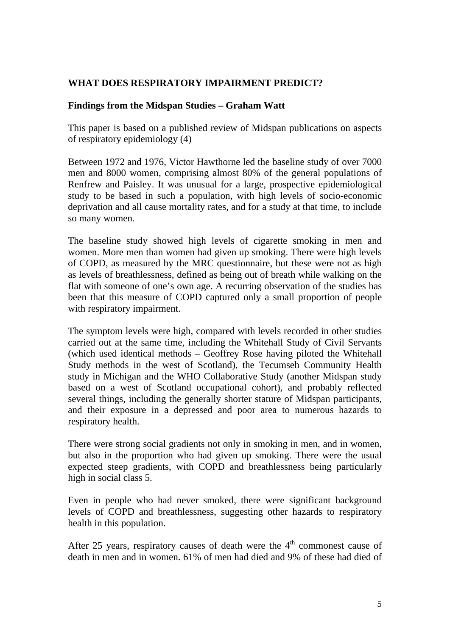### **WHAT DOES RESPIRATORY IMPAIRMENT PREDICT?**

### **Findings from the Midspan Studies – Graham Watt**

This paper is based on a published review of Midspan publications on aspects of respiratory epidemiology (4)

Between 1972 and 1976, Victor Hawthorne led the baseline study of over 7000 men and 8000 women, comprising almost 80% of the general populations of Renfrew and Paisley. It was unusual for a large, prospective epidemiological study to be based in such a population, with high levels of socio-economic deprivation and all cause mortality rates, and for a study at that time, to include so many women.

The baseline study showed high levels of cigarette smoking in men and women. More men than women had given up smoking. There were high levels of COPD, as measured by the MRC questionnaire, but these were not as high as levels of breathlessness, defined as being out of breath while walking on the flat with someone of one's own age. A recurring observation of the studies has been that this measure of COPD captured only a small proportion of people with respiratory impairment.

The symptom levels were high, compared with levels recorded in other studies carried out at the same time, including the Whitehall Study of Civil Servants (which used identical methods – Geoffrey Rose having piloted the Whitehall Study methods in the west of Scotland), the Tecumseh Community Health study in Michigan and the WHO Collaborative Study (another Midspan study based on a west of Scotland occupational cohort), and probably reflected several things, including the generally shorter stature of Midspan participants, and their exposure in a depressed and poor area to numerous hazards to respiratory health.

There were strong social gradients not only in smoking in men, and in women, but also in the proportion who had given up smoking. There were the usual expected steep gradients, with COPD and breathlessness being particularly high in social class 5.

Even in people who had never smoked, there were significant background levels of COPD and breathlessness, suggesting other hazards to respiratory health in this population.

After 25 years, respiratory causes of death were the  $4<sup>th</sup>$  commonest cause of death in men and in women. 61% of men had died and 9% of these had died of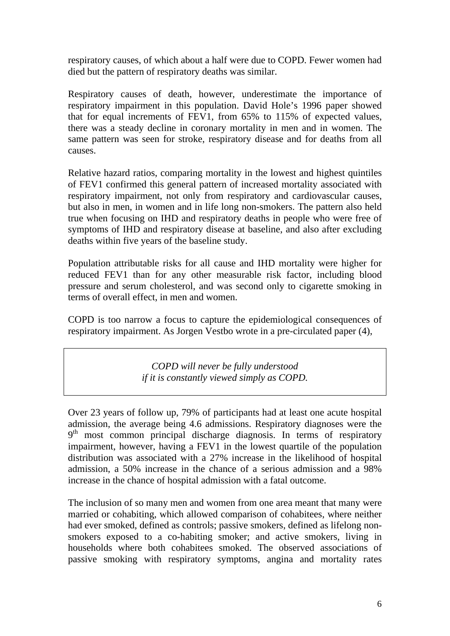respiratory causes, of which about a half were due to COPD. Fewer women had died but the pattern of respiratory deaths was similar.

Respiratory causes of death, however, underestimate the importance of respiratory impairment in this population. David Hole's 1996 paper showed that for equal increments of FEV1, from 65% to 115% of expected values, there was a steady decline in coronary mortality in men and in women. The same pattern was seen for stroke, respiratory disease and for deaths from all causes.

Relative hazard ratios, comparing mortality in the lowest and highest quintiles of FEV1 confirmed this general pattern of increased mortality associated with respiratory impairment, not only from respiratory and cardiovascular causes, but also in men, in women and in life long non-smokers. The pattern also held true when focusing on IHD and respiratory deaths in people who were free of symptoms of IHD and respiratory disease at baseline, and also after excluding deaths within five years of the baseline study.

Population attributable risks for all cause and IHD mortality were higher for reduced FEV1 than for any other measurable risk factor, including blood pressure and serum cholesterol, and was second only to cigarette smoking in terms of overall effect, in men and women.

COPD is too narrow a focus to capture the epidemiological consequences of respiratory impairment. As Jorgen Vestbo wrote in a pre-circulated paper (4),

> *COPD will never be fully understood if it is constantly viewed simply as COPD.*

Over 23 years of follow up, 79% of participants had at least one acute hospital admission, the average being 4.6 admissions. Respiratory diagnoses were the 9<sup>th</sup> most common principal discharge diagnosis. In terms of respiratory impairment, however, having a FEV1 in the lowest quartile of the population distribution was associated with a 27% increase in the likelihood of hospital admission, a 50% increase in the chance of a serious admission and a 98% increase in the chance of hospital admission with a fatal outcome.

The inclusion of so many men and women from one area meant that many were married or cohabiting, which allowed comparison of cohabitees, where neither had ever smoked, defined as controls; passive smokers, defined as lifelong nonsmokers exposed to a co-habiting smoker; and active smokers, living in households where both cohabitees smoked. The observed associations of passive smoking with respiratory symptoms, angina and mortality rates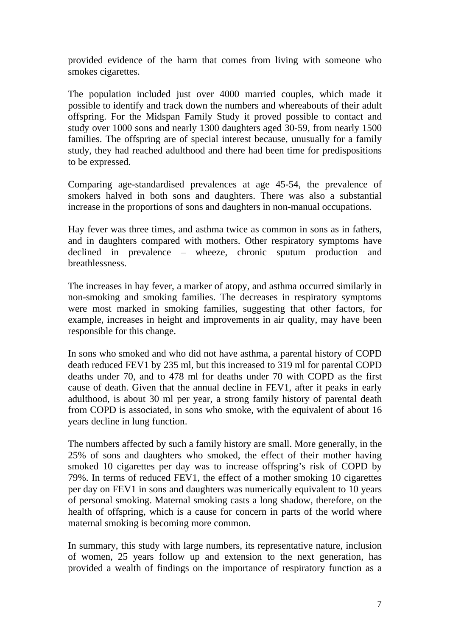provided evidence of the harm that comes from living with someone who smokes cigarettes.

The population included just over 4000 married couples, which made it possible to identify and track down the numbers and whereabouts of their adult offspring. For the Midspan Family Study it proved possible to contact and study over 1000 sons and nearly 1300 daughters aged 30-59, from nearly 1500 families. The offspring are of special interest because, unusually for a family study, they had reached adulthood and there had been time for predispositions to be expressed.

Comparing age-standardised prevalences at age 45-54, the prevalence of smokers halved in both sons and daughters. There was also a substantial increase in the proportions of sons and daughters in non-manual occupations.

Hay fever was three times, and asthma twice as common in sons as in fathers, and in daughters compared with mothers. Other respiratory symptoms have declined in prevalence – wheeze, chronic sputum production and breathlessness.

The increases in hay fever, a marker of atopy, and asthma occurred similarly in non-smoking and smoking families. The decreases in respiratory symptoms were most marked in smoking families, suggesting that other factors, for example, increases in height and improvements in air quality, may have been responsible for this change.

In sons who smoked and who did not have asthma, a parental history of COPD death reduced FEV1 by 235 ml, but this increased to 319 ml for parental COPD deaths under 70, and to 478 ml for deaths under 70 with COPD as the first cause of death. Given that the annual decline in FEV1, after it peaks in early adulthood, is about 30 ml per year, a strong family history of parental death from COPD is associated, in sons who smoke, with the equivalent of about 16 years decline in lung function.

The numbers affected by such a family history are small. More generally, in the 25% of sons and daughters who smoked, the effect of their mother having smoked 10 cigarettes per day was to increase offspring's risk of COPD by 79%. In terms of reduced FEV1, the effect of a mother smoking 10 cigarettes per day on FEV1 in sons and daughters was numerically equivalent to 10 years of personal smoking. Maternal smoking casts a long shadow, therefore, on the health of offspring, which is a cause for concern in parts of the world where maternal smoking is becoming more common.

In summary, this study with large numbers, its representative nature, inclusion of women, 25 years follow up and extension to the next generation, has provided a wealth of findings on the importance of respiratory function as a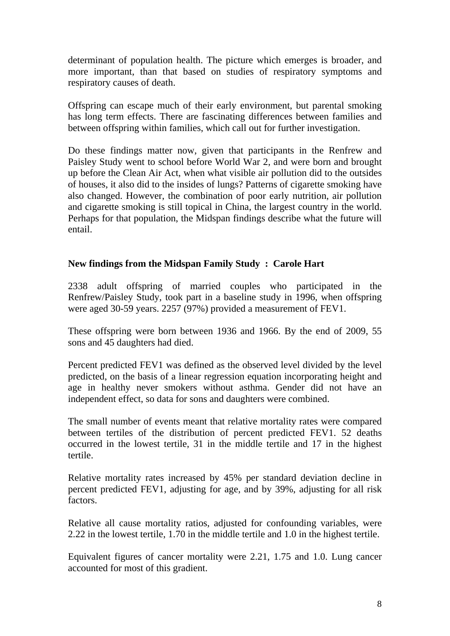determinant of population health. The picture which emerges is broader, and more important, than that based on studies of respiratory symptoms and respiratory causes of death.

Offspring can escape much of their early environment, but parental smoking has long term effects. There are fascinating differences between families and between offspring within families, which call out for further investigation.

Do these findings matter now, given that participants in the Renfrew and Paisley Study went to school before World War 2, and were born and brought up before the Clean Air Act, when what visible air pollution did to the outsides of houses, it also did to the insides of lungs? Patterns of cigarette smoking have also changed. However, the combination of poor early nutrition, air pollution and cigarette smoking is still topical in China, the largest country in the world. Perhaps for that population, the Midspan findings describe what the future will entail.

### **New findings from the Midspan Family Study : Carole Hart**

2338 adult offspring of married couples who participated in the Renfrew/Paisley Study, took part in a baseline study in 1996, when offspring were aged 30-59 years. 2257 (97%) provided a measurement of FEV1.

These offspring were born between 1936 and 1966. By the end of 2009, 55 sons and 45 daughters had died.

Percent predicted FEV1 was defined as the observed level divided by the level predicted, on the basis of a linear regression equation incorporating height and age in healthy never smokers without asthma. Gender did not have an independent effect, so data for sons and daughters were combined.

The small number of events meant that relative mortality rates were compared between tertiles of the distribution of percent predicted FEV1. 52 deaths occurred in the lowest tertile, 31 in the middle tertile and 17 in the highest tertile.

Relative mortality rates increased by 45% per standard deviation decline in percent predicted FEV1, adjusting for age, and by 39%, adjusting for all risk factors.

Relative all cause mortality ratios, adjusted for confounding variables, were 2.22 in the lowest tertile, 1.70 in the middle tertile and 1.0 in the highest tertile.

Equivalent figures of cancer mortality were 2.21, 1.75 and 1.0. Lung cancer accounted for most of this gradient.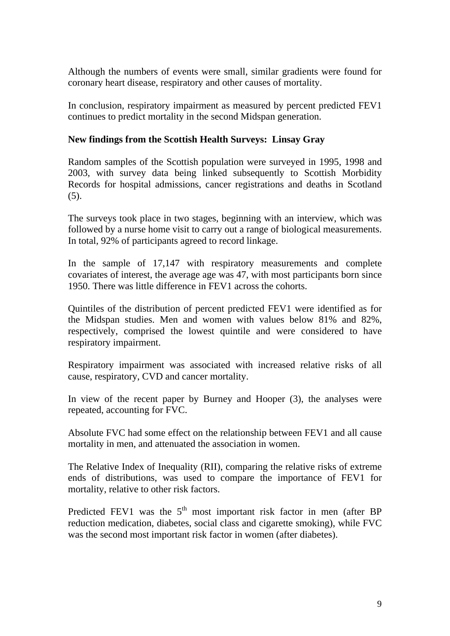Although the numbers of events were small, similar gradients were found for coronary heart disease, respiratory and other causes of mortality.

In conclusion, respiratory impairment as measured by percent predicted FEV1 continues to predict mortality in the second Midspan generation.

#### **New findings from the Scottish Health Surveys: Linsay Gray**

Random samples of the Scottish population were surveyed in 1995, 1998 and 2003, with survey data being linked subsequently to Scottish Morbidity Records for hospital admissions, cancer registrations and deaths in Scotland  $(5)$ .

The surveys took place in two stages, beginning with an interview, which was followed by a nurse home visit to carry out a range of biological measurements. In total, 92% of participants agreed to record linkage.

In the sample of 17,147 with respiratory measurements and complete covariates of interest, the average age was 47, with most participants born since 1950. There was little difference in FEV1 across the cohorts.

Quintiles of the distribution of percent predicted FEV1 were identified as for the Midspan studies. Men and women with values below 81% and 82%, respectively, comprised the lowest quintile and were considered to have respiratory impairment.

Respiratory impairment was associated with increased relative risks of all cause, respiratory, CVD and cancer mortality.

In view of the recent paper by Burney and Hooper (3), the analyses were repeated, accounting for FVC.

Absolute FVC had some effect on the relationship between FEV1 and all cause mortality in men, and attenuated the association in women.

The Relative Index of Inequality (RII), comparing the relative risks of extreme ends of distributions, was used to compare the importance of FEV1 for mortality, relative to other risk factors.

Predicted FEV1 was the  $5<sup>th</sup>$  most important risk factor in men (after BP reduction medication, diabetes, social class and cigarette smoking), while FVC was the second most important risk factor in women (after diabetes).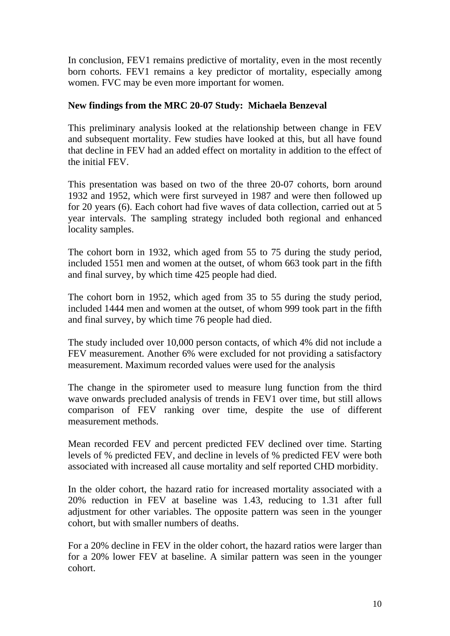In conclusion, FEV1 remains predictive of mortality, even in the most recently born cohorts. FEV1 remains a key predictor of mortality, especially among women. FVC may be even more important for women.

# **New findings from the MRC 20-07 Study: Michaela Benzeval**

This preliminary analysis looked at the relationship between change in FEV and subsequent mortality. Few studies have looked at this, but all have found that decline in FEV had an added effect on mortality in addition to the effect of the initial FEV.

This presentation was based on two of the three 20-07 cohorts, born around 1932 and 1952, which were first surveyed in 1987 and were then followed up for 20 years (6). Each cohort had five waves of data collection, carried out at 5 year intervals. The sampling strategy included both regional and enhanced locality samples.

The cohort born in 1932, which aged from 55 to 75 during the study period, included 1551 men and women at the outset, of whom 663 took part in the fifth and final survey, by which time 425 people had died.

The cohort born in 1952, which aged from 35 to 55 during the study period, included 1444 men and women at the outset, of whom 999 took part in the fifth and final survey, by which time 76 people had died.

The study included over 10,000 person contacts, of which 4% did not include a FEV measurement. Another 6% were excluded for not providing a satisfactory measurement. Maximum recorded values were used for the analysis

The change in the spirometer used to measure lung function from the third wave onwards precluded analysis of trends in FEV1 over time, but still allows comparison of FEV ranking over time, despite the use of different measurement methods.

Mean recorded FEV and percent predicted FEV declined over time. Starting levels of % predicted FEV, and decline in levels of % predicted FEV were both associated with increased all cause mortality and self reported CHD morbidity.

In the older cohort, the hazard ratio for increased mortality associated with a 20% reduction in FEV at baseline was 1.43, reducing to 1.31 after full adjustment for other variables. The opposite pattern was seen in the younger cohort, but with smaller numbers of deaths.

For a 20% decline in FEV in the older cohort, the hazard ratios were larger than for a 20% lower FEV at baseline. A similar pattern was seen in the younger cohort.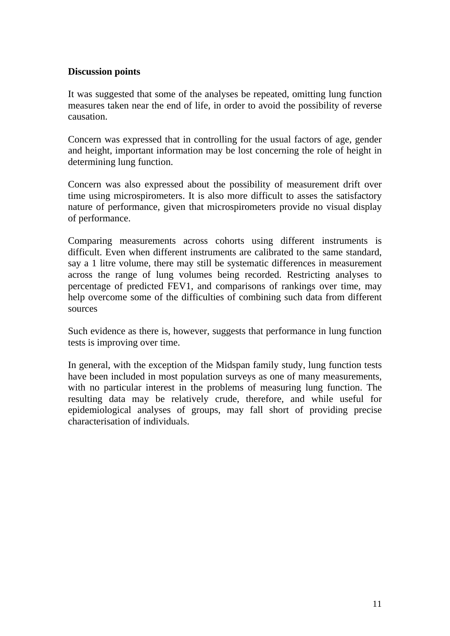### **Discussion points**

It was suggested that some of the analyses be repeated, omitting lung function measures taken near the end of life, in order to avoid the possibility of reverse causation.

Concern was expressed that in controlling for the usual factors of age, gender and height, important information may be lost concerning the role of height in determining lung function.

Concern was also expressed about the possibility of measurement drift over time using microspirometers. It is also more difficult to asses the satisfactory nature of performance, given that microspirometers provide no visual display of performance.

Comparing measurements across cohorts using different instruments is difficult. Even when different instruments are calibrated to the same standard, say a 1 litre volume, there may still be systematic differences in measurement across the range of lung volumes being recorded. Restricting analyses to percentage of predicted FEV1, and comparisons of rankings over time, may help overcome some of the difficulties of combining such data from different sources

Such evidence as there is, however, suggests that performance in lung function tests is improving over time.

In general, with the exception of the Midspan family study, lung function tests have been included in most population surveys as one of many measurements, with no particular interest in the problems of measuring lung function. The resulting data may be relatively crude, therefore, and while useful for epidemiological analyses of groups, may fall short of providing precise characterisation of individuals.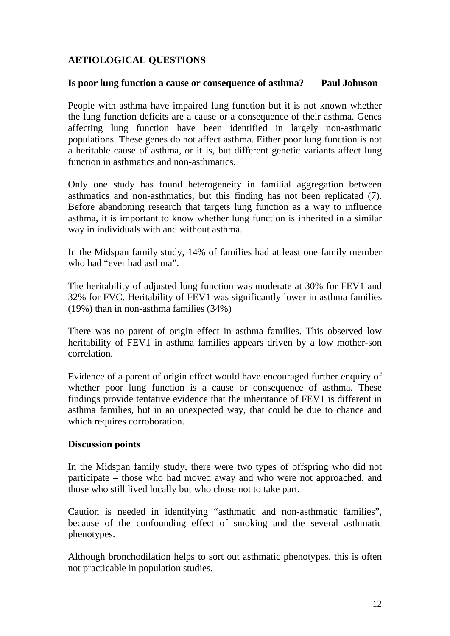# **AETIOLOGICAL QUESTIONS**

#### **Is poor lung function a cause or consequence of asthma? Paul Johnson**

People with asthma have impaired lung function but it is not known whether the lung function deficits are a cause or a consequence of their asthma. Genes affecting lung function have been identified in largely non-asthmatic populations. These genes do not affect asthma. Either poor lung function is not a heritable cause of asthma, or it is, but different genetic variants affect lung function in asthmatics and non-asthmatics.

Only one study has found heterogeneity in familial aggregation between asthmatics and non-asthmatics, but this finding has not been replicated (7). Before abandoning research that targets lung function as a way to influence asthma, it is important to know whether lung function is inherited in a similar way in individuals with and without asthma.

In the Midspan family study, 14% of families had at least one family member who had "ever had asthma".

The heritability of adjusted lung function was moderate at 30% for FEV1 and 32% for FVC. Heritability of FEV1 was significantly lower in asthma families (19%) than in non-asthma families (34%)

There was no parent of origin effect in asthma families. This observed low heritability of FEV1 in asthma families appears driven by a low mother-son correlation.

Evidence of a parent of origin effect would have encouraged further enquiry of whether poor lung function is a cause or consequence of asthma. These findings provide tentative evidence that the inheritance of FEV1 is different in asthma families, but in an unexpected way, that could be due to chance and which requires corroboration.

### **Discussion points**

In the Midspan family study, there were two types of offspring who did not participate – those who had moved away and who were not approached, and those who still lived locally but who chose not to take part.

Caution is needed in identifying "asthmatic and non-asthmatic families", because of the confounding effect of smoking and the several asthmatic phenotypes.

Although bronchodilation helps to sort out asthmatic phenotypes, this is often not practicable in population studies.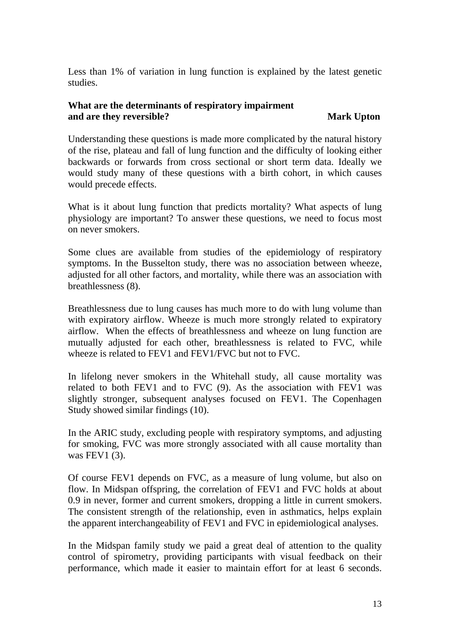Less than 1% of variation in lung function is explained by the latest genetic studies.

#### **What are the determinants of respiratory impairment and are they reversible?** Mark Upton

Understanding these questions is made more complicated by the natural history of the rise, plateau and fall of lung function and the difficulty of looking either backwards or forwards from cross sectional or short term data. Ideally we would study many of these questions with a birth cohort, in which causes would precede effects.

What is it about lung function that predicts mortality? What aspects of lung physiology are important? To answer these questions, we need to focus most on never smokers.

Some clues are available from studies of the epidemiology of respiratory symptoms. In the Busselton study, there was no association between wheeze, adjusted for all other factors, and mortality, while there was an association with breathlessness (8).

Breathlessness due to lung causes has much more to do with lung volume than with expiratory airflow. Wheeze is much more strongly related to expiratory airflow. When the effects of breathlessness and wheeze on lung function are mutually adjusted for each other, breathlessness is related to FVC, while wheeze is related to FEV1 and FEV1/FVC but not to FVC.

In lifelong never smokers in the Whitehall study, all cause mortality was related to both FEV1 and to FVC (9). As the association with FEV1 was slightly stronger, subsequent analyses focused on FEV1. The Copenhagen Study showed similar findings (10).

In the ARIC study, excluding people with respiratory symptoms, and adjusting for smoking, FVC was more strongly associated with all cause mortality than was FEV1 (3).

Of course FEV1 depends on FVC, as a measure of lung volume, but also on flow. In Midspan offspring, the correlation of FEV1 and FVC holds at about 0.9 in never, former and current smokers, dropping a little in current smokers. The consistent strength of the relationship, even in asthmatics, helps explain the apparent interchangeability of FEV1 and FVC in epidemiological analyses.

In the Midspan family study we paid a great deal of attention to the quality control of spirometry, providing participants with visual feedback on their performance, which made it easier to maintain effort for at least 6 seconds.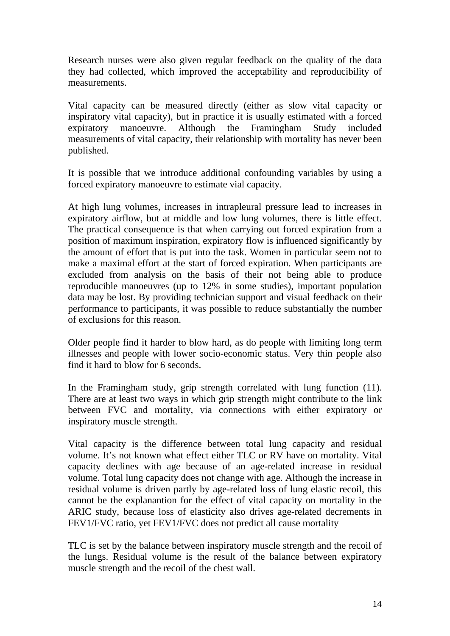Research nurses were also given regular feedback on the quality of the data they had collected, which improved the acceptability and reproducibility of measurements.

Vital capacity can be measured directly (either as slow vital capacity or inspiratory vital capacity), but in practice it is usually estimated with a forced expiratory manoeuvre. Although the Framingham Study included measurements of vital capacity, their relationship with mortality has never been published.

It is possible that we introduce additional confounding variables by using a forced expiratory manoeuvre to estimate vial capacity.

At high lung volumes, increases in intrapleural pressure lead to increases in expiratory airflow, but at middle and low lung volumes, there is little effect. The practical consequence is that when carrying out forced expiration from a position of maximum inspiration, expiratory flow is influenced significantly by the amount of effort that is put into the task. Women in particular seem not to make a maximal effort at the start of forced expiration. When participants are excluded from analysis on the basis of their not being able to produce reproducible manoeuvres (up to 12% in some studies), important population data may be lost. By providing technician support and visual feedback on their performance to participants, it was possible to reduce substantially the number of exclusions for this reason.

Older people find it harder to blow hard, as do people with limiting long term illnesses and people with lower socio-economic status. Very thin people also find it hard to blow for 6 seconds.

In the Framingham study, grip strength correlated with lung function (11). There are at least two ways in which grip strength might contribute to the link between FVC and mortality, via connections with either expiratory or inspiratory muscle strength.

Vital capacity is the difference between total lung capacity and residual volume. It's not known what effect either TLC or RV have on mortality. Vital capacity declines with age because of an age-related increase in residual volume. Total lung capacity does not change with age. Although the increase in residual volume is driven partly by age-related loss of lung elastic recoil, this cannot be the explanantion for the effect of vital capacity on mortality in the ARIC study, because loss of elasticity also drives age-related decrements in FEV1/FVC ratio, yet FEV1/FVC does not predict all cause mortality

TLC is set by the balance between inspiratory muscle strength and the recoil of the lungs. Residual volume is the result of the balance between expiratory muscle strength and the recoil of the chest wall.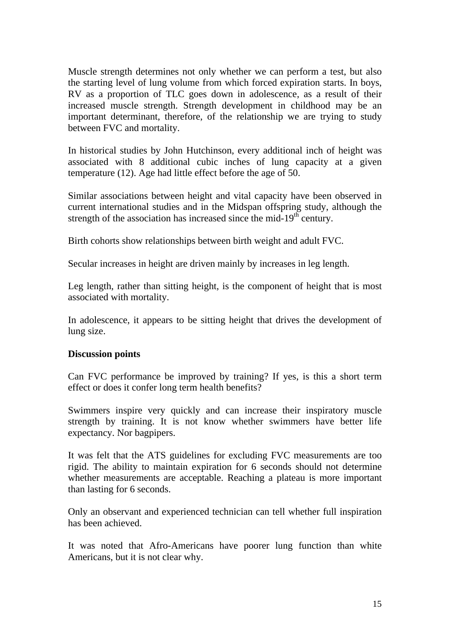Muscle strength determines not only whether we can perform a test, but also the starting level of lung volume from which forced expiration starts. In boys, RV as a proportion of TLC goes down in adolescence, as a result of their increased muscle strength. Strength development in childhood may be an important determinant, therefore, of the relationship we are trying to study between FVC and mortality.

In historical studies by John Hutchinson, every additional inch of height was associated with 8 additional cubic inches of lung capacity at a given temperature (12). Age had little effect before the age of 50.

Similar associations between height and vital capacity have been observed in current international studies and in the Midspan offspring study, although the strength of the association has increased since the mid-19<sup>th</sup> century.

Birth cohorts show relationships between birth weight and adult FVC.

Secular increases in height are driven mainly by increases in leg length.

Leg length, rather than sitting height, is the component of height that is most associated with mortality.

In adolescence, it appears to be sitting height that drives the development of lung size.

#### **Discussion points**

Can FVC performance be improved by training? If yes, is this a short term effect or does it confer long term health benefits?

Swimmers inspire very quickly and can increase their inspiratory muscle strength by training. It is not know whether swimmers have better life expectancy. Nor bagpipers.

It was felt that the ATS guidelines for excluding FVC measurements are too rigid. The ability to maintain expiration for 6 seconds should not determine whether measurements are acceptable. Reaching a plateau is more important than lasting for 6 seconds.

Only an observant and experienced technician can tell whether full inspiration has been achieved.

It was noted that Afro-Americans have poorer lung function than white Americans, but it is not clear why.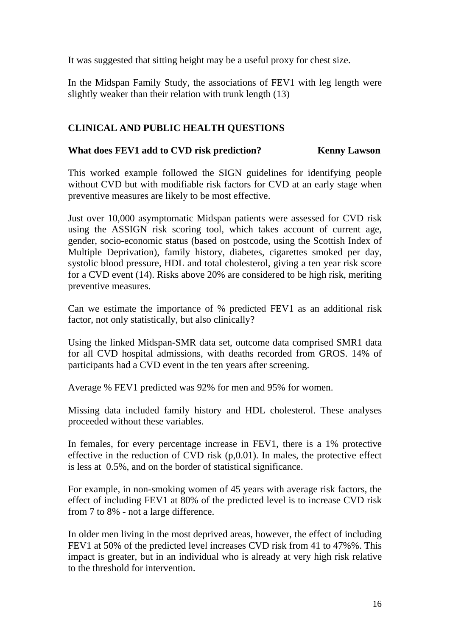It was suggested that sitting height may be a useful proxy for chest size.

In the Midspan Family Study, the associations of FEV1 with leg length were slightly weaker than their relation with trunk length (13)

# **CLINICAL AND PUBLIC HEALTH QUESTIONS**

# What does FEV1 add to CVD risk prediction? **Kenny Lawson**

This worked example followed the SIGN guidelines for identifying people without CVD but with modifiable risk factors for CVD at an early stage when preventive measures are likely to be most effective.

Just over 10,000 asymptomatic Midspan patients were assessed for CVD risk using the ASSIGN risk scoring tool, which takes account of current age, gender, socio-economic status (based on postcode, using the Scottish Index of Multiple Deprivation), family history, diabetes, cigarettes smoked per day, systolic blood pressure, HDL and total cholesterol, giving a ten year risk score for a CVD event (14). Risks above 20% are considered to be high risk, meriting preventive measures.

Can we estimate the importance of % predicted FEV1 as an additional risk factor, not only statistically, but also clinically?

Using the linked Midspan-SMR data set, outcome data comprised SMR1 data for all CVD hospital admissions, with deaths recorded from GROS. 14% of participants had a CVD event in the ten years after screening.

Average % FEV1 predicted was 92% for men and 95% for women.

Missing data included family history and HDL cholesterol. These analyses proceeded without these variables.

In females, for every percentage increase in FEV1, there is a 1% protective effective in the reduction of CVD risk  $(p,0.01)$ . In males, the protective effect is less at 0.5%, and on the border of statistical significance.

For example, in non-smoking women of 45 years with average risk factors, the effect of including FEV1 at 80% of the predicted level is to increase CVD risk from 7 to 8% - not a large difference.

In older men living in the most deprived areas, however, the effect of including FEV1 at 50% of the predicted level increases CVD risk from 41 to 47%%. This impact is greater, but in an individual who is already at very high risk relative to the threshold for intervention.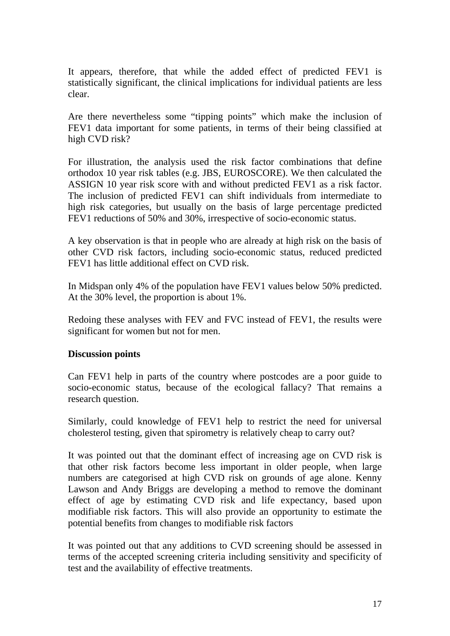It appears, therefore, that while the added effect of predicted FEV1 is statistically significant, the clinical implications for individual patients are less clear.

Are there nevertheless some "tipping points" which make the inclusion of FEV1 data important for some patients, in terms of their being classified at high CVD risk?

For illustration, the analysis used the risk factor combinations that define orthodox 10 year risk tables (e.g. JBS, EUROSCORE). We then calculated the ASSIGN 10 year risk score with and without predicted FEV1 as a risk factor. The inclusion of predicted FEV1 can shift individuals from intermediate to high risk categories, but usually on the basis of large percentage predicted FEV1 reductions of 50% and 30%, irrespective of socio-economic status.

A key observation is that in people who are already at high risk on the basis of other CVD risk factors, including socio-economic status, reduced predicted FEV1 has little additional effect on CVD risk.

In Midspan only 4% of the population have FEV1 values below 50% predicted. At the 30% level, the proportion is about 1%.

Redoing these analyses with FEV and FVC instead of FEV1, the results were significant for women but not for men.

### **Discussion points**

Can FEV1 help in parts of the country where postcodes are a poor guide to socio-economic status, because of the ecological fallacy? That remains a research question.

Similarly, could knowledge of FEV1 help to restrict the need for universal cholesterol testing, given that spirometry is relatively cheap to carry out?

It was pointed out that the dominant effect of increasing age on CVD risk is that other risk factors become less important in older people, when large numbers are categorised at high CVD risk on grounds of age alone. Kenny Lawson and Andy Briggs are developing a method to remove the dominant effect of age by estimating CVD risk and life expectancy, based upon modifiable risk factors. This will also provide an opportunity to estimate the potential benefits from changes to modifiable risk factors

It was pointed out that any additions to CVD screening should be assessed in terms of the accepted screening criteria including sensitivity and specificity of test and the availability of effective treatments.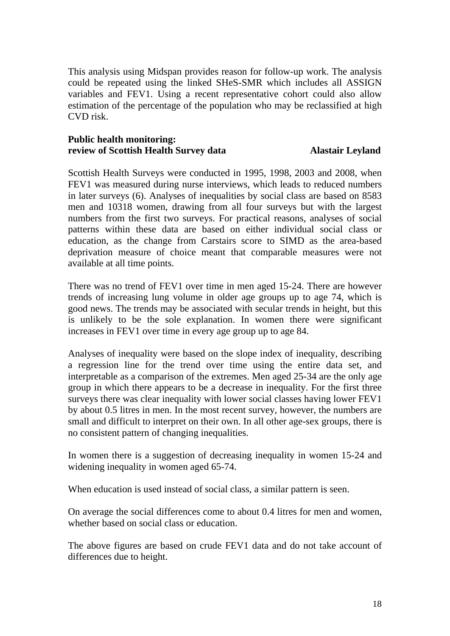This analysis using Midspan provides reason for follow-up work. The analysis could be repeated using the linked SHeS-SMR which includes all ASSIGN variables and FEV1. Using a recent representative cohort could also allow estimation of the percentage of the population who may be reclassified at high CVD risk.

#### **Public health monitoring: review of Scottish Health Survey data Alastair Leyland**

Scottish Health Surveys were conducted in 1995, 1998, 2003 and 2008, when FEV1 was measured during nurse interviews, which leads to reduced numbers in later surveys (6). Analyses of inequalities by social class are based on 8583 men and 10318 women, drawing from all four surveys but with the largest numbers from the first two surveys. For practical reasons, analyses of social patterns within these data are based on either individual social class or education, as the change from Carstairs score to SIMD as the area-based deprivation measure of choice meant that comparable measures were not available at all time points.

There was no trend of FEV1 over time in men aged 15-24. There are however trends of increasing lung volume in older age groups up to age 74, which is good news. The trends may be associated with secular trends in height, but this is unlikely to be the sole explanation. In women there were significant increases in FEV1 over time in every age group up to age 84.

Analyses of inequality were based on the slope index of inequality, describing a regression line for the trend over time using the entire data set, and interpretable as a comparison of the extremes. Men aged 25-34 are the only age group in which there appears to be a decrease in inequality. For the first three surveys there was clear inequality with lower social classes having lower FEV1 by about 0.5 litres in men. In the most recent survey, however, the numbers are small and difficult to interpret on their own. In all other age-sex groups, there is no consistent pattern of changing inequalities.

In women there is a suggestion of decreasing inequality in women 15-24 and widening inequality in women aged 65-74.

When education is used instead of social class, a similar pattern is seen.

On average the social differences come to about 0.4 litres for men and women, whether based on social class or education.

The above figures are based on crude FEV1 data and do not take account of differences due to height.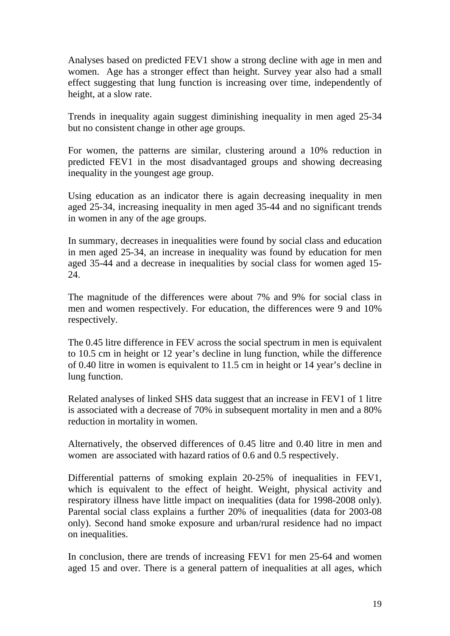Analyses based on predicted FEV1 show a strong decline with age in men and women. Age has a stronger effect than height. Survey year also had a small effect suggesting that lung function is increasing over time, independently of height, at a slow rate.

Trends in inequality again suggest diminishing inequality in men aged 25-34 but no consistent change in other age groups.

For women, the patterns are similar, clustering around a 10% reduction in predicted FEV1 in the most disadvantaged groups and showing decreasing inequality in the youngest age group.

Using education as an indicator there is again decreasing inequality in men aged 25-34, increasing inequality in men aged 35-44 and no significant trends in women in any of the age groups.

In summary, decreases in inequalities were found by social class and education in men aged 25-34, an increase in inequality was found by education for men aged 35-44 and a decrease in inequalities by social class for women aged 15- 24.

The magnitude of the differences were about 7% and 9% for social class in men and women respectively. For education, the differences were 9 and 10% respectively.

The 0.45 litre difference in FEV across the social spectrum in men is equivalent to 10.5 cm in height or 12 year's decline in lung function, while the difference of 0.40 litre in women is equivalent to 11.5 cm in height or 14 year's decline in lung function.

Related analyses of linked SHS data suggest that an increase in FEV1 of 1 litre is associated with a decrease of 70% in subsequent mortality in men and a 80% reduction in mortality in women.

Alternatively, the observed differences of 0.45 litre and 0.40 litre in men and women are associated with hazard ratios of 0.6 and 0.5 respectively.

Differential patterns of smoking explain 20-25% of inequalities in FEV1, which is equivalent to the effect of height. Weight, physical activity and respiratory illness have little impact on inequalities (data for 1998-2008 only). Parental social class explains a further 20% of inequalities (data for 2003-08 only). Second hand smoke exposure and urban/rural residence had no impact on inequalities.

In conclusion, there are trends of increasing FEV1 for men 25-64 and women aged 15 and over. There is a general pattern of inequalities at all ages, which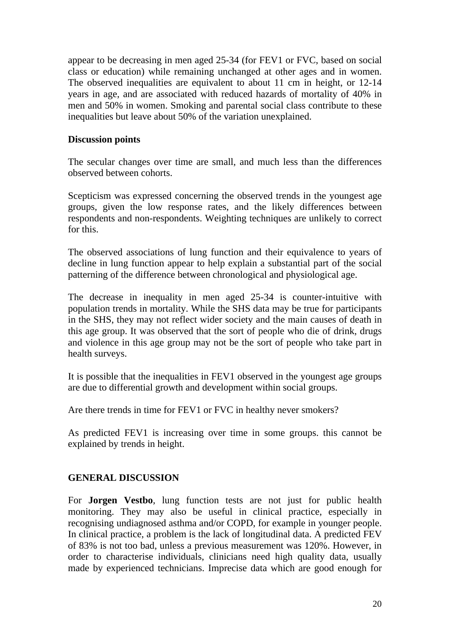appear to be decreasing in men aged 25-34 (for FEV1 or FVC, based on social class or education) while remaining unchanged at other ages and in women. The observed inequalities are equivalent to about 11 cm in height, or 12-14 years in age, and are associated with reduced hazards of mortality of 40% in men and 50% in women. Smoking and parental social class contribute to these inequalities but leave about 50% of the variation unexplained.

#### **Discussion points**

The secular changes over time are small, and much less than the differences observed between cohorts.

Scepticism was expressed concerning the observed trends in the youngest age groups, given the low response rates, and the likely differences between respondents and non-respondents. Weighting techniques are unlikely to correct for this.

The observed associations of lung function and their equivalence to years of decline in lung function appear to help explain a substantial part of the social patterning of the difference between chronological and physiological age.

The decrease in inequality in men aged 25-34 is counter-intuitive with population trends in mortality. While the SHS data may be true for participants in the SHS, they may not reflect wider society and the main causes of death in this age group. It was observed that the sort of people who die of drink, drugs and violence in this age group may not be the sort of people who take part in health surveys.

It is possible that the inequalities in FEV1 observed in the youngest age groups are due to differential growth and development within social groups.

Are there trends in time for FEV1 or FVC in healthy never smokers?

As predicted FEV1 is increasing over time in some groups. this cannot be explained by trends in height.

### **GENERAL DISCUSSION**

For **Jorgen Vestbo**, lung function tests are not just for public health monitoring. They may also be useful in clinical practice, especially in recognising undiagnosed asthma and/or COPD, for example in younger people. In clinical practice, a problem is the lack of longitudinal data. A predicted FEV of 83% is not too bad, unless a previous measurement was 120%. However, in order to characterise individuals, clinicians need high quality data, usually made by experienced technicians. Imprecise data which are good enough for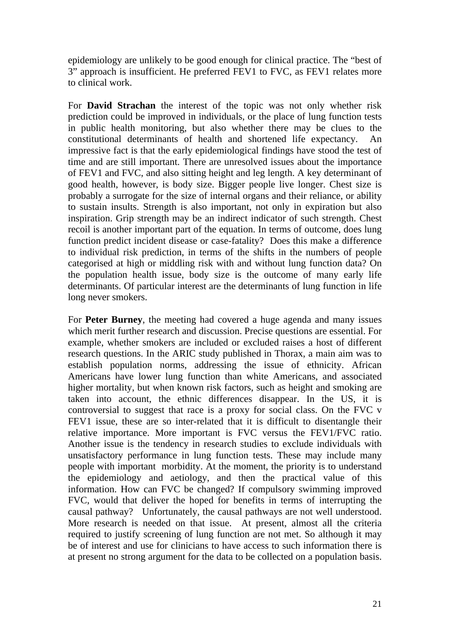epidemiology are unlikely to be good enough for clinical practice. The "best of 3" approach is insufficient. He preferred FEV1 to FVC, as FEV1 relates more to clinical work.

For **David Strachan** the interest of the topic was not only whether risk prediction could be improved in individuals, or the place of lung function tests in public health monitoring, but also whether there may be clues to the constitutional determinants of health and shortened life expectancy. An impressive fact is that the early epidemiological findings have stood the test of time and are still important. There are unresolved issues about the importance of FEV1 and FVC, and also sitting height and leg length. A key determinant of good health, however, is body size. Bigger people live longer. Chest size is probably a surrogate for the size of internal organs and their reliance, or ability to sustain insults. Strength is also important, not only in expiration but also inspiration. Grip strength may be an indirect indicator of such strength. Chest recoil is another important part of the equation. In terms of outcome, does lung function predict incident disease or case-fatality? Does this make a difference to individual risk prediction, in terms of the shifts in the numbers of people categorised at high or middling risk with and without lung function data? On the population health issue, body size is the outcome of many early life determinants. Of particular interest are the determinants of lung function in life long never smokers.

For **Peter Burney**, the meeting had covered a huge agenda and many issues which merit further research and discussion. Precise questions are essential. For example, whether smokers are included or excluded raises a host of different research questions. In the ARIC study published in Thorax, a main aim was to establish population norms, addressing the issue of ethnicity. African Americans have lower lung function than white Americans, and associated higher mortality, but when known risk factors, such as height and smoking are taken into account, the ethnic differences disappear. In the US, it is controversial to suggest that race is a proxy for social class. On the FVC v FEV1 issue, these are so inter-related that it is difficult to disentangle their relative importance. More important is FVC versus the FEV1/FVC ratio. Another issue is the tendency in research studies to exclude individuals with unsatisfactory performance in lung function tests. These may include many people with important morbidity. At the moment, the priority is to understand the epidemiology and aetiology, and then the practical value of this information. How can FVC be changed? If compulsory swimming improved FVC, would that deliver the hoped for benefits in terms of interrupting the causal pathway? Unfortunately, the causal pathways are not well understood. More research is needed on that issue. At present, almost all the criteria required to justify screening of lung function are not met. So although it may be of interest and use for clinicians to have access to such information there is at present no strong argument for the data to be collected on a population basis.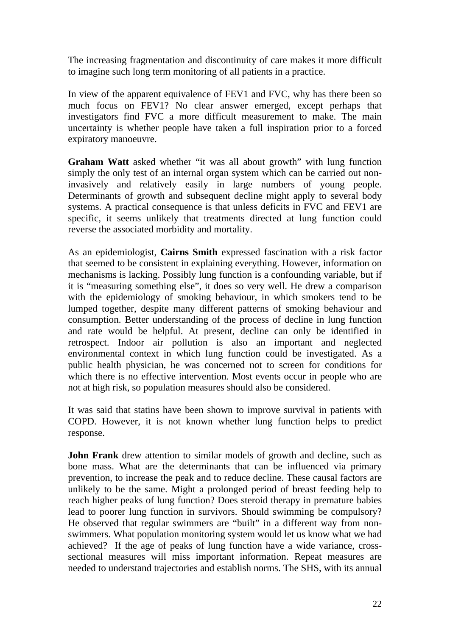The increasing fragmentation and discontinuity of care makes it more difficult to imagine such long term monitoring of all patients in a practice.

In view of the apparent equivalence of FEV1 and FVC, why has there been so much focus on FEV1? No clear answer emerged, except perhaps that investigators find FVC a more difficult measurement to make. The main uncertainty is whether people have taken a full inspiration prior to a forced expiratory manoeuvre.

**Graham Watt** asked whether "it was all about growth" with lung function simply the only test of an internal organ system which can be carried out noninvasively and relatively easily in large numbers of young people. Determinants of growth and subsequent decline might apply to several body systems. A practical consequence is that unless deficits in FVC and FEV1 are specific, it seems unlikely that treatments directed at lung function could reverse the associated morbidity and mortality.

As an epidemiologist, **Cairns Smith** expressed fascination with a risk factor that seemed to be consistent in explaining everything. However, information on mechanisms is lacking. Possibly lung function is a confounding variable, but if it is "measuring something else", it does so very well. He drew a comparison with the epidemiology of smoking behaviour, in which smokers tend to be lumped together, despite many different patterns of smoking behaviour and consumption. Better understanding of the process of decline in lung function and rate would be helpful. At present, decline can only be identified in retrospect. Indoor air pollution is also an important and neglected environmental context in which lung function could be investigated. As a public health physician, he was concerned not to screen for conditions for which there is no effective intervention. Most events occur in people who are not at high risk, so population measures should also be considered.

It was said that statins have been shown to improve survival in patients with COPD. However, it is not known whether lung function helps to predict response.

**John Frank** drew attention to similar models of growth and decline, such as bone mass. What are the determinants that can be influenced via primary prevention, to increase the peak and to reduce decline. These causal factors are unlikely to be the same. Might a prolonged period of breast feeding help to reach higher peaks of lung function? Does steroid therapy in premature babies lead to poorer lung function in survivors. Should swimming be compulsory? He observed that regular swimmers are "built" in a different way from nonswimmers. What population monitoring system would let us know what we had achieved? If the age of peaks of lung function have a wide variance, crosssectional measures will miss important information. Repeat measures are needed to understand trajectories and establish norms. The SHS, with its annual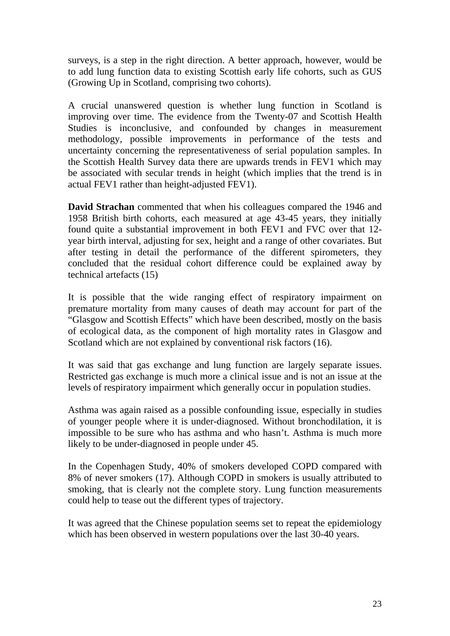surveys, is a step in the right direction. A better approach, however, would be to add lung function data to existing Scottish early life cohorts, such as GUS (Growing Up in Scotland, comprising two cohorts).

A crucial unanswered question is whether lung function in Scotland is improving over time. The evidence from the Twenty-07 and Scottish Health Studies is inconclusive, and confounded by changes in measurement methodology, possible improvements in performance of the tests and uncertainty concerning the representativeness of serial population samples. In the Scottish Health Survey data there are upwards trends in FEV1 which may be associated with secular trends in height (which implies that the trend is in actual FEV1 rather than height-adjusted FEV1).

**David Strachan** commented that when his colleagues compared the 1946 and 1958 British birth cohorts, each measured at age 43-45 years, they initially found quite a substantial improvement in both FEV1 and FVC over that 12 year birth interval, adjusting for sex, height and a range of other covariates. But after testing in detail the performance of the different spirometers, they concluded that the residual cohort difference could be explained away by technical artefacts (15)

It is possible that the wide ranging effect of respiratory impairment on premature mortality from many causes of death may account for part of the "Glasgow and Scottish Effects" which have been described, mostly on the basis of ecological data, as the component of high mortality rates in Glasgow and Scotland which are not explained by conventional risk factors (16).

It was said that gas exchange and lung function are largely separate issues. Restricted gas exchange is much more a clinical issue and is not an issue at the levels of respiratory impairment which generally occur in population studies.

Asthma was again raised as a possible confounding issue, especially in studies of younger people where it is under-diagnosed. Without bronchodilation, it is impossible to be sure who has asthma and who hasn't. Asthma is much more likely to be under-diagnosed in people under 45.

In the Copenhagen Study, 40% of smokers developed COPD compared with 8% of never smokers (17). Although COPD in smokers is usually attributed to smoking, that is clearly not the complete story. Lung function measurements could help to tease out the different types of trajectory.

It was agreed that the Chinese population seems set to repeat the epidemiology which has been observed in western populations over the last 30-40 years.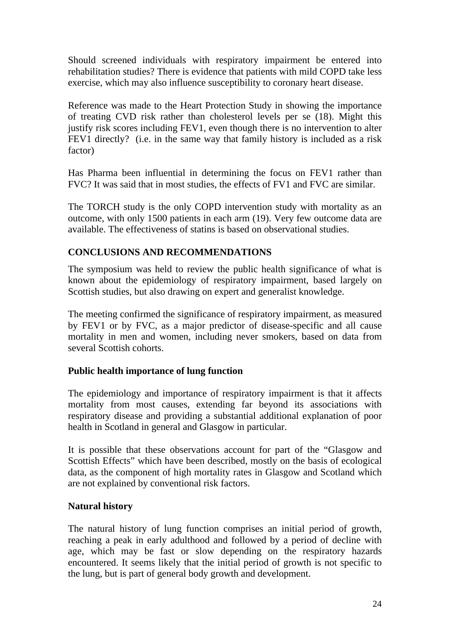Should screened individuals with respiratory impairment be entered into rehabilitation studies? There is evidence that patients with mild COPD take less exercise, which may also influence susceptibility to coronary heart disease.

Reference was made to the Heart Protection Study in showing the importance of treating CVD risk rather than cholesterol levels per se (18). Might this justify risk scores including FEV1, even though there is no intervention to alter FEV1 directly? (i.e. in the same way that family history is included as a risk factor)

Has Pharma been influential in determining the focus on FEV1 rather than FVC? It was said that in most studies, the effects of FV1 and FVC are similar.

The TORCH study is the only COPD intervention study with mortality as an outcome, with only 1500 patients in each arm (19). Very few outcome data are available. The effectiveness of statins is based on observational studies.

# **CONCLUSIONS AND RECOMMENDATIONS**

The symposium was held to review the public health significance of what is known about the epidemiology of respiratory impairment, based largely on Scottish studies, but also drawing on expert and generalist knowledge.

The meeting confirmed the significance of respiratory impairment, as measured by FEV1 or by FVC, as a major predictor of disease-specific and all cause mortality in men and women, including never smokers, based on data from several Scottish cohorts.

### **Public health importance of lung function**

The epidemiology and importance of respiratory impairment is that it affects mortality from most causes, extending far beyond its associations with respiratory disease and providing a substantial additional explanation of poor health in Scotland in general and Glasgow in particular.

It is possible that these observations account for part of the "Glasgow and Scottish Effects" which have been described, mostly on the basis of ecological data, as the component of high mortality rates in Glasgow and Scotland which are not explained by conventional risk factors.

### **Natural history**

The natural history of lung function comprises an initial period of growth, reaching a peak in early adulthood and followed by a period of decline with age, which may be fast or slow depending on the respiratory hazards encountered. It seems likely that the initial period of growth is not specific to the lung, but is part of general body growth and development.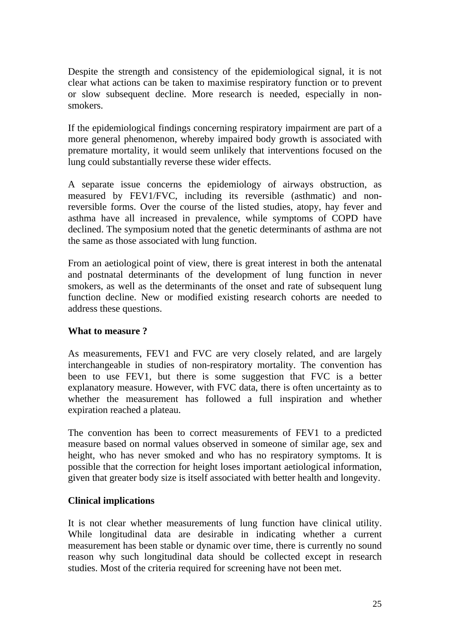Despite the strength and consistency of the epidemiological signal, it is not clear what actions can be taken to maximise respiratory function or to prevent or slow subsequent decline. More research is needed, especially in nonsmokers.

If the epidemiological findings concerning respiratory impairment are part of a more general phenomenon, whereby impaired body growth is associated with premature mortality, it would seem unlikely that interventions focused on the lung could substantially reverse these wider effects.

A separate issue concerns the epidemiology of airways obstruction, as measured by FEV1/FVC, including its reversible (asthmatic) and nonreversible forms. Over the course of the listed studies, atopy, hay fever and asthma have all increased in prevalence, while symptoms of COPD have declined. The symposium noted that the genetic determinants of asthma are not the same as those associated with lung function.

From an aetiological point of view, there is great interest in both the antenatal and postnatal determinants of the development of lung function in never smokers, as well as the determinants of the onset and rate of subsequent lung function decline. New or modified existing research cohorts are needed to address these questions.

### **What to measure ?**

As measurements, FEV1 and FVC are very closely related, and are largely interchangeable in studies of non-respiratory mortality. The convention has been to use FEV1, but there is some suggestion that FVC is a better explanatory measure. However, with FVC data, there is often uncertainty as to whether the measurement has followed a full inspiration and whether expiration reached a plateau.

The convention has been to correct measurements of FEV1 to a predicted measure based on normal values observed in someone of similar age, sex and height, who has never smoked and who has no respiratory symptoms. It is possible that the correction for height loses important aetiological information, given that greater body size is itself associated with better health and longevity.

### **Clinical implications**

It is not clear whether measurements of lung function have clinical utility. While longitudinal data are desirable in indicating whether a current measurement has been stable or dynamic over time, there is currently no sound reason why such longitudinal data should be collected except in research studies. Most of the criteria required for screening have not been met.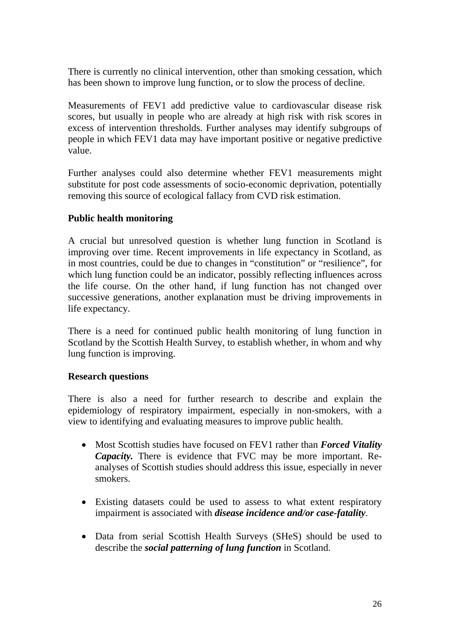There is currently no clinical intervention, other than smoking cessation, which has been shown to improve lung function, or to slow the process of decline.

Measurements of FEV1 add predictive value to cardiovascular disease risk scores, but usually in people who are already at high risk with risk scores in excess of intervention thresholds. Further analyses may identify subgroups of people in which FEV1 data may have important positive or negative predictive value.

Further analyses could also determine whether FEV1 measurements might substitute for post code assessments of socio-economic deprivation, potentially removing this source of ecological fallacy from CVD risk estimation.

# **Public health monitoring**

A crucial but unresolved question is whether lung function in Scotland is improving over time. Recent improvements in life expectancy in Scotland, as in most countries, could be due to changes in "constitution" or "resilience", for which lung function could be an indicator, possibly reflecting influences across the life course. On the other hand, if lung function has not changed over successive generations, another explanation must be driving improvements in life expectancy.

There is a need for continued public health monitoring of lung function in Scotland by the Scottish Health Survey, to establish whether, in whom and why lung function is improving.

### **Research questions**

There is also a need for further research to describe and explain the epidemiology of respiratory impairment, especially in non-smokers, with a view to identifying and evaluating measures to improve public health.

- Most Scottish studies have focused on FEV1 rather than *Forced Vitality Capacity.* There is evidence that FVC may be more important. Reanalyses of Scottish studies should address this issue, especially in never smokers.
- Existing datasets could be used to assess to what extent respiratory impairment is associated with *disease incidence and/or case-fatality*.
- Data from serial Scottish Health Surveys (SHeS) should be used to describe the *social patterning of lung function* in Scotland.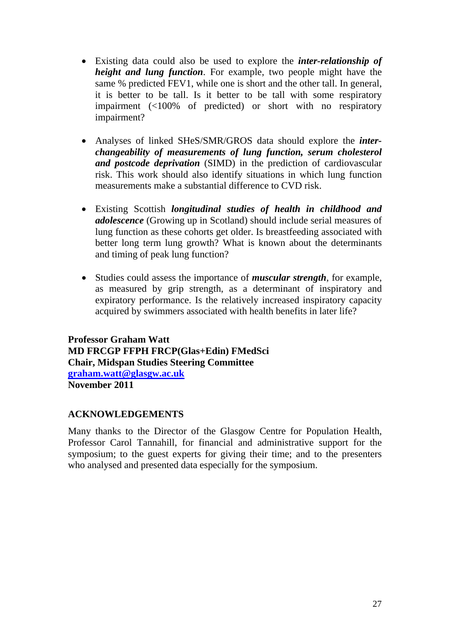- Existing data could also be used to explore the *inter-relationship of height and lung function*. For example, two people might have the same % predicted FEV1, while one is short and the other tall. In general, it is better to be tall. Is it better to be tall with some respiratory impairment (<100% of predicted) or short with no respiratory impairment?
- Analyses of linked SHeS/SMR/GROS data should explore the *interchangeability of measurements of lung function, serum cholesterol and postcode deprivation* (SIMD) in the prediction of cardiovascular risk. This work should also identify situations in which lung function measurements make a substantial difference to CVD risk.
- Existing Scottish *longitudinal studies of health in childhood and adolescence* (Growing up in Scotland) should include serial measures of lung function as these cohorts get older. Is breastfeeding associated with better long term lung growth? What is known about the determinants and timing of peak lung function?
- Studies could assess the importance of *muscular strength*, for example, as measured by grip strength, as a determinant of inspiratory and expiratory performance. Is the relatively increased inspiratory capacity acquired by swimmers associated with health benefits in later life?

**Professor Graham Watt MD FRCGP FFPH FRCP(Glas+Edin) FMedSci Chair, Midspan Studies Steering Committee [graham.watt@glasgw.ac.uk](mailto:graham.watt@glasgw.ac.uk) November 2011** 

### **ACKNOWLEDGEMENTS**

Many thanks to the Director of the Glasgow Centre for Population Health, Professor Carol Tannahill, for financial and administrative support for the symposium; to the guest experts for giving their time; and to the presenters who analysed and presented data especially for the symposium.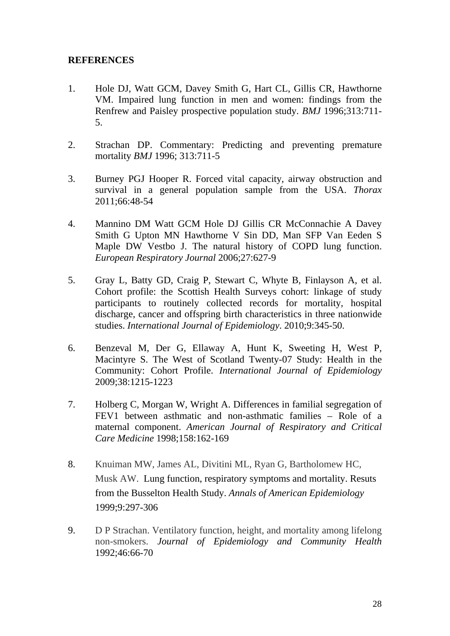### **REFERENCES**

- 1. Hole DJ, Watt GCM, Davey Smith G, Hart CL, Gillis CR, Hawthorne VM. Impaired lung function in men and women: findings from the Renfrew and Paisley prospective population study. *BMJ* 1996;313:711- 5.
- 2. Strachan DP. Commentary: Predicting and preventing premature mortality *BMJ* 1996; 313:711-5
- 3. Burney PGJ Hooper R. Forced vital capacity, airway obstruction and survival in a general population sample from the USA. *Thorax* 2011;66:48-54
- 4. Mannino DM Watt GCM Hole DJ Gillis CR McConnachie A Davey Smith G Upton MN Hawthorne V Sin DD, Man SFP Van Eeden S Maple DW Vestbo J. The natural history of COPD lung function. *European Respiratory Journal* 2006;27:627-9
- 5. Gray L, Batty GD, Craig P, Stewart C, Whyte B, Finlayson A, et al. Cohort profile: the Scottish Health Surveys cohort: linkage of study participants to routinely collected records for mortality, hospital discharge, cancer and offspring birth characteristics in three nationwide studies. *International Journal of Epidemiology*. 2010;9:345-50.
- 6. Benzeval M, Der G, Ellaway A, Hunt K, Sweeting H, West P, Macintyre S. The West of Scotland Twenty-07 Study: Health in the Community: Cohort Profile. *International Journal of Epidemiology* 2009;38:1215-1223
- 7. Holberg C, Morgan W, Wright A. Differences in familial segregation of FEV1 between asthmatic and non-asthmatic families – Role of a maternal component. *American Journal of Respiratory and Critical Care Medicine* 1998;158:162-169
- 8. Knuiman MW, James AL, Divitini ML, Ryan G, Bartholomew HC, Musk AW. Lung function, respiratory symptoms and mortality. Resuts from the Busselton Health Study. *Annals of American Epidemiology* 1999;9:297-306
- 9. D P Strachan. Ventilatory function, height, and mortality among lifelong non-smokers. *Journal of Epidemiology and Community Health* 1992;46:66-70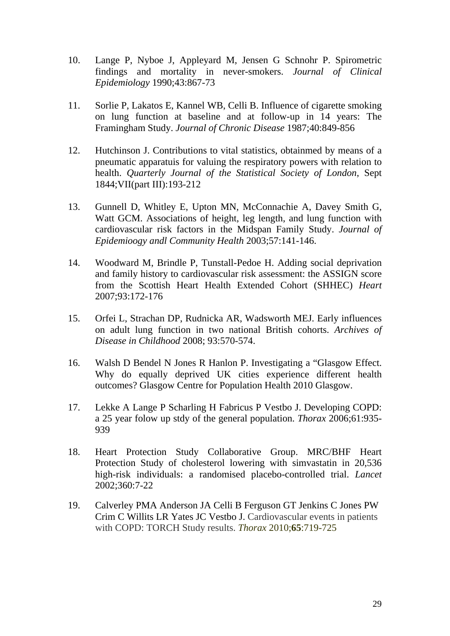- 10. Lange P, Nyboe J, Appleyard M, Jensen G Schnohr P. Spirometric findings and mortality in never-smokers. *Journal of Clinical Epidemiology* 1990;43:867-73
- 11. Sorlie P, Lakatos E, Kannel WB, Celli B. Influence of cigarette smoking on lung function at baseline and at follow-up in 14 years: The Framingham Study. *Journal of Chronic Disease* 1987;40:849-856
- 12. Hutchinson J. Contributions to vital statistics, obtainmed by means of a pneumatic apparatuis for valuing the respiratory powers with relation to health. *Quarterly Journal of the Statistical Society of London*, Sept 1844;VII(part III):193-212
- 13. Gunnell D, Whitley E, Upton MN, McConnachie A, Davey Smith G, Watt GCM. Associations of height, leg length, and lung function with cardiovascular risk factors in the Midspan Family Study. *Journal of Epidemioogy andl Community Health* 2003;57:141-146.
- 14. Woodward M, Brindle P, Tunstall-Pedoe H. Adding social deprivation and family history to cardiovascular risk assessment: the ASSIGN score from the Scottish Heart Health Extended Cohort (SHHEC) *Heart* 2007;93:172-176
- 15. Orfei L, Strachan DP, Rudnicka AR, Wadsworth MEJ. Early influences on adult lung function in two national British cohorts. *Archives of Disease in Childhood* 2008; 93:570-574.
- 16. Walsh D Bendel N Jones R Hanlon P. Investigating a "Glasgow Effect. Why do equally deprived UK cities experience different health outcomes? Glasgow Centre for Population Health 2010 Glasgow.
- 17. Lekke A Lange P Scharling H Fabricus P Vestbo J. Developing COPD: a 25 year folow up stdy of the general population. *Thorax* 2006;61:935- 939
- 18. Heart Protection Study Collaborative Group. MRC/BHF Heart Protection Study of cholesterol lowering with simvastatin in 20,536 high-risk individuals: a randomised placebo-controlled trial. *Lancet*  2002;360:7-22
- 19. Calverley PMA Anderson JA Celli B Ferguson GT Jenkins C Jones PW Crim C Willits LR Yates JC Vestbo J. Cardiovascular events in patients with COPD: TORCH Study results. *Thorax* 2010;**65**:719-725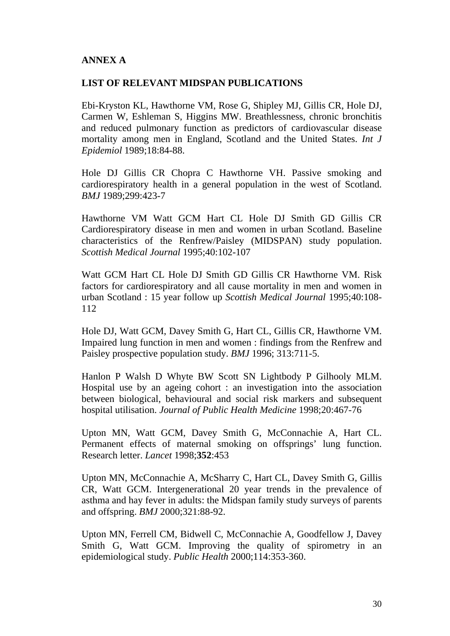### **ANNEX A**

#### **LIST OF RELEVANT MIDSPAN PUBLICATIONS**

Ebi-Kryston KL, Hawthorne VM, Rose G, Shipley MJ, Gillis CR, Hole DJ, Carmen W, Eshleman S, Higgins MW. Breathlessness, chronic bronchitis and reduced pulmonary function as predictors of cardiovascular disease mortality among men in England, Scotland and the United States. *Int J Epidemiol* 1989;18:84-88.

Hole DJ Gillis CR Chopra C Hawthorne VH. Passive smoking and cardiorespiratory health in a general population in the west of Scotland. *BMJ* 1989;299:423-7

Hawthorne VM Watt GCM Hart CL Hole DJ Smith GD Gillis CR Cardiorespiratory disease in men and women in urban Scotland. Baseline characteristics of the Renfrew/Paisley (MIDSPAN) study population. *Scottish Medical Journal* 1995;40:102-107

Watt GCM Hart CL Hole DJ Smith GD Gillis CR Hawthorne VM. Risk factors for cardiorespiratory and all cause mortality in men and women in urban Scotland : 15 year follow up *Scottish Medical Journal* 1995;40:108- 112

Hole DJ, Watt GCM, Davey Smith G, Hart CL, Gillis CR, Hawthorne VM. Impaired lung function in men and women : findings from the Renfrew and Paisley prospective population study. *BMJ* 1996; 313:711-5.

Hanlon P Walsh D Whyte BW Scott SN Lightbody P Gilhooly MLM. Hospital use by an ageing cohort : an investigation into the association between biological, behavioural and social risk markers and subsequent hospital utilisation. *Journal of Public Health Medicine* 1998;20:467-76

Upton MN, Watt GCM, Davey Smith G, McConnachie A, Hart CL. Permanent effects of maternal smoking on offsprings' lung function. Research letter. *Lancet* 1998;**352**:453

Upton MN, McConnachie A, McSharry C, Hart CL, Davey Smith G, Gillis CR, Watt GCM. Intergenerational 20 year trends in the prevalence of asthma and hay fever in adults: the Midspan family study surveys of parents and offspring. *BMJ* 2000;321:88-92.

Upton MN, Ferrell CM, Bidwell C, McConnachie A, Goodfellow J, Davey Smith G, Watt GCM. Improving the quality of spirometry in an epidemiological study. *Public Health* 2000;114:353-360.